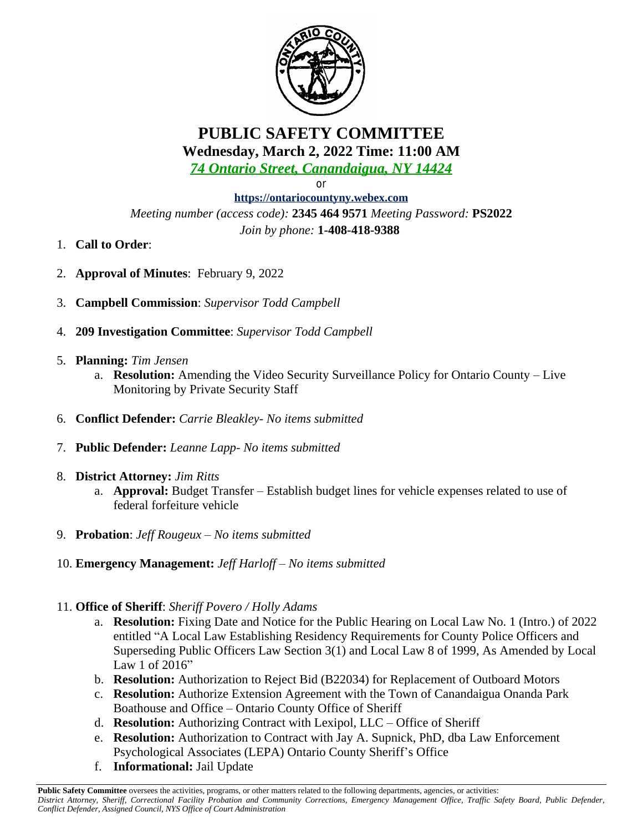

**PUBLIC SAFETY COMMITTEE Wednesday, March 2, 2022 Time: 11:00 AM**

*74 Ontario Street, Canandaigua, NY 14424*

or

**<https://ontariocountyny.webex.com>** *Meeting number (access code):* **2345 464 9571** *Meeting Password:* **PS2022** *Join by phone:* **1-408-418-9388** 

- 1. **Call to Order**:
- 2. **Approval of Minutes**: February 9, 2022
- 3. **Campbell Commission**: *Supervisor Todd Campbell*
- 4. **209 Investigation Committee**: *Supervisor Todd Campbell*
- 5. **Planning:** *Tim Jensen*
	- a. **Resolution:** Amending the Video Security Surveillance Policy for Ontario County Live Monitoring by Private Security Staff
- 6. **Conflict Defender:** *Carrie Bleakley- No items submitted*
- 7. **Public Defender:** *Leanne Lapp- No items submitted*
- 8. **District Attorney:** *Jim Ritts*
	- a. **Approval:** Budget Transfer Establish budget lines for vehicle expenses related to use of federal forfeiture vehicle
- 9. **Probation**: *Jeff Rougeux – No items submitted*
- 10. **Emergency Management:** *Jeff Harloff – No items submitted*
- 11. **Office of Sheriff**: *Sheriff Povero / Holly Adams*
	- a. **Resolution:** Fixing Date and Notice for the Public Hearing on Local Law No. 1 (Intro.) of 2022 entitled "A Local Law Establishing Residency Requirements for County Police Officers and Superseding Public Officers Law Section 3(1) and Local Law 8 of 1999, As Amended by Local Law 1 of 2016"
	- b. **Resolution:** Authorization to Reject Bid (B22034) for Replacement of Outboard Motors
	- c. **Resolution:** Authorize Extension Agreement with the Town of Canandaigua Onanda Park Boathouse and Office – Ontario County Office of Sheriff
	- d. **Resolution:** Authorizing Contract with Lexipol, LLC Office of Sheriff
	- e. **Resolution:** Authorization to Contract with Jay A. Supnick, PhD, dba Law Enforcement Psychological Associates (LEPA) Ontario County Sheriff's Office
	- f. **Informational:** Jail Update